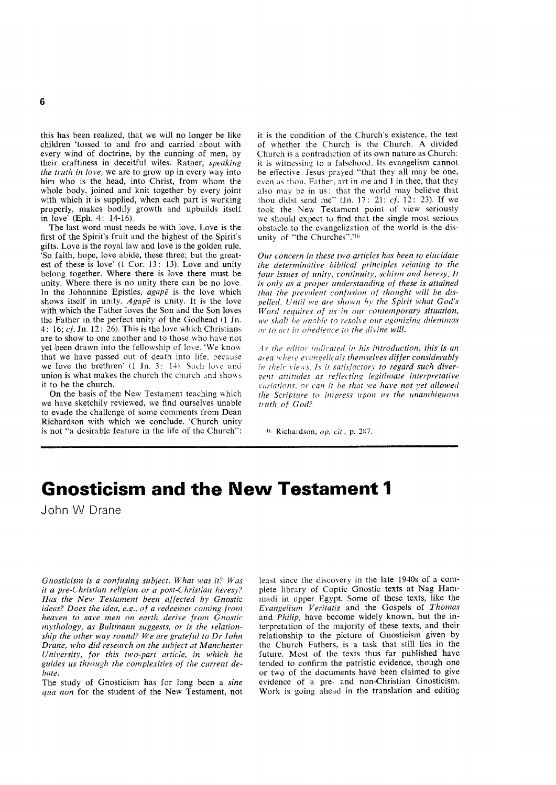this has been realized, that we will no longer be like children 'tossed to and fro and carried about with every wind of doctrine, by the cunning of men, by their craftiness in deceitful wiles. Rather, *speaking the truth in love,* we are to grow up in every way into him who is the head, into Christ, from whom the whole body, joined and knit together by every joint with which it is supplied, when each part is working properly, makes bodily growth and upbuilds itself in love' (Eph. 4: 14-16).

The last word must needs be with love. Love is the first of the Spirit's fruit and the highest of the Spirit's gifts. Love is the royal law and love is the golden rule. 'So faith, hope, love abide, these three; but the greatest of these is love' (1 Cor. 13: 13). Love and unity belong together. Where there is love there must be unity. Where there is no unity there can be no love. In the 10hannine Epistles, *agape* is the love which shows itself in unity. *Agape* is unity. It is the love with which the Father loves the Son and the Son loves the Father in the perfect unity of the Godhead  $(1 \text{ Jn})$ . 4: 16;  $cf.$  Jn. 12: 26). This is the love which Christians are to show to one another and to those who have not yet been drawn into the fellowship of love. 'We know that we have passed out of death into life. because we love the brethren'  $(1 \text{ Jn. } 3: 14)$ . Such love and union is what makes the church the church and shows it to be the church.

On the basis of the New Testament teaching which we have sketchily reviewed, we find ourselves unable to evade the challenge of some comments from Dean Richardson with which we conclude. 'Church unity is not "a desirable feature in the life of the Church":

it is the condition of the Church's existence, the test of whether the Church is the Church. A divided Church is a contradiction of its own nature as Church: it is witnessing to a falsehood. Its evangelism cannot be effective. Jesus prayed "that they all may be one, even as thou, Father, art in me and I in thee, that they also may be in us: that the world may believe that thou didst send me" Un. 17: 21: *cf.* 12: 23). If we took the New Testament point of view seriously we should expect to find that the single most serious obstacle to the evangelization of the world is the disunity of "the Churches".'1G

*Our concern in these two articles has been to elucidate the determinative hiblical principles relating to the four issues of unity, continuity, schism and heresy.* /1 *is only as a proper understanding of these is attained*  that the prevalent confusion of thought will be dis*pelled. Until we are shown hy the Spirit what God's*  Word requires of us in our contemporary situation, we shall be unable to resolve our agonizing dilemmas *or to act in ohedience to the divine will.* 

As the editor indicated in his introduction, this is an area where evangelicals themselves differ considerably *in their views. Is it satisfactory to regard such diver*gent attitudes as reflecting legitimate interpretative *\·(iriatiolls. or can it he that we have not yet allowed the Scriptllre to impress upon liS the unamhiguous*  truth of God?

 $16$  Richardson, op. cit., p. 287.

# **Gnosticism and the New Testament 1**

John W Drane

*Gnosticism is a confusing subject. What was it? Was it a pre-Christian religion or a post-Christian heresy? Has the New Testament been affected by Gnostic ideas? Does the idea, e.g., of a redeemer coming from heaven to save men on earth derive from Gnostic mythology, as Bultmann suggests, or is the relationship the other way round? We are grateful to Dr John Drane, who did research on the suhject at Manchester University, for this two-part article, in which he guides us through the complexities of the current debate.* 

The study of Gnosticism has for long been a *sine qua non* for the student of the New Testament, not least since the discovery in the late 1940s of a complete library of Coptic Gnostic texts at Nag Hammadi in upper Egypt. Some of these texts, like the *Evangelium Veritatis* and the Gospels of *Thomas*  and *Philip,* have become widely known, but the interpretation of the majority of these texts, and their relationship to the picture of Gnosticism given by the Church Fathers, is a task that still lies in the future. Most of the texts thus far published have tended to confirm the patristic evidence, though one or two of the documents have been claimed to give evidence of a pre- and non-Christian Gnosticism. Work is going ahead in the translation and editing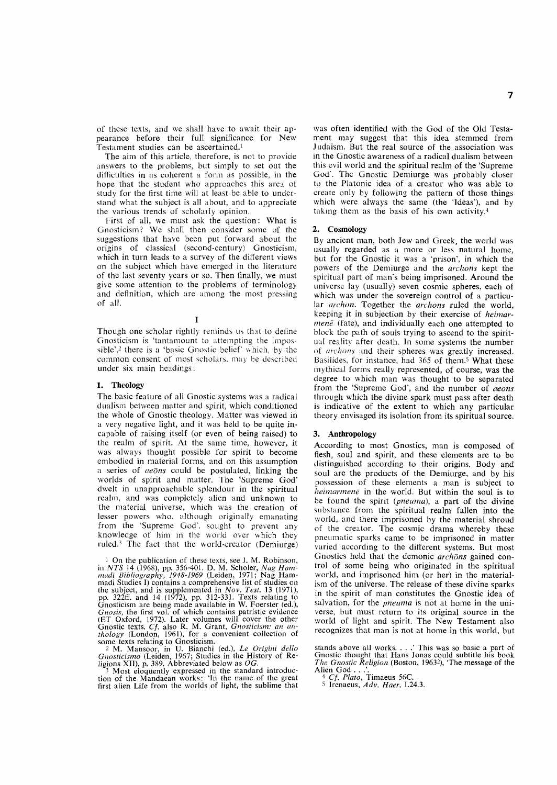of these texts, and we shall have to await their appearance before their full significance for New Testament studies can be ascertained.<sup>1</sup>

The aim of this article, therefore, is not to provide answers to the problems, but simply to set out the difficulties in as coherent a form as possible, in the hope that the student who approaches this area of study for the first time will at least be able to understand what the subject is all about, and to appreciate the various trends of scholarly opinion.

First of all, we must ask the question: What is Gnosticism? We shall then consider some of the suggestions that have been put forward about the origins of classical (second-century) Gnosticism, which in turn leads to a survey of the different views on the subject which have emerged in the literature of the last seventy years or so. Then finally, we must give some attention to the problems of terminology and definition, which are among the most pressing of all.

Though one scholar rightly reminds us that to define Gnosticism is 'tantamount to attempting the impossible', $2$  there is a 'basic Gnostic belief' which, by the common consent of most scholars. may he described under six main headings:

I

#### **1.** Theology

The basic feature of all Gnostic systems was a radical dualism between matter and spirit, which conditioned the whole of Gnostic theology. Matter was viewed in a very negative light, and it was held to be quite incapable of raising itself (or even of being raised) to the realm of spirit. At the same time, however, it was always thought possible for spirit to become embodied in material forms, and on this assumption a series of *aeons* could be postulated, linking the worlds of spirit and matter. The 'Supreme God' dwelt in unapproachable splendour in the spiritual realm, and was completely alien and unknown to the material universe, which was the creation of lesser powers who. although originally emanating from the 'Supreme God', sought to prevent any knowledge of him in the world over which they ruled.' The fact that the world-creator (Demiurge)

<sup>1</sup> On the publication of these texts, see J. M. Robinson, in *NTS* 14 (1968), pp. 356-401. D. M. Scholer, *Nag Ham-*<br>madi *Bibliography*, *1948-1969* (Leiden, 1971; Nag Hammadi Studies I) contains a comprehensive list of studies on<br>the subject, and is supplemented in *Nov. Test.* 13 (1971),<br>pp. 322ff. and 14 (1972), pp. 312-331. Texts relating to<br>Gnosticism are being made available in W. Fo Gnosis, the first vol. of which contains patristic evidence<br>(ET Oxford, 1972). Later volumes will cover the other<br>Gnostic texts. Cf. also R. M. Grant, Gnosticism: an an-<br>thology (London, 1961), for a convenient collection

<sup>2</sup> M. Mansoor, in U. Bianchi (ed.), *Le Origini dello*<br>*Gnosticismo* (Leiden, 1967; Studies in the History of Religions XII), p. 389. Abbreviated below as *OG.* 

<sup>3</sup> Most eloquently expressed in the standard introduc-<br>tion of the Mandaean works: 'In the name of the great first alien Life from the worlds of light, the sublime that was often identified with the God of the Old Testament may suggest that this idea stemmed from Judaism. But the real source of the association was in the Gnostic awareness of a radical dualism between this evil world and the spiritual realm of the 'Supreme God'. The Gnostic Demiurge was probably closer to the Platonic idea of a creator who was able to create only by following the pattern of those things which were always the same (the 'Ideas'), and by taking them as the basis of his own activity.4

## 2. Cosmology

By ancient man, both Jew and Greek, the world was usually regarded as a more or less natural home, but for the Gnostic it was a 'prison', in which the powers of the Demiurge and the *archons* kept the spiritual part of man's being imprisoned. Around the universe lay (usually) seven cosmic spheres, each of which was under the sovereign control of a particular *archon.* Together the *archons* ruled the world, keeping it in subjection by their exercise of *heimarmene* (fate), and individually each one attempted to block the path of souls trying to ascend to the spiritual reality after death. In some systems the number of *archons* and their spheres was greatly increased. Basilides, for instance, had 365 of them.<sup>5</sup> What these mythical forms really represented, of course, was the degree to which man was thought to be separated from the 'Supreme God', and the number of *aeons*  through which the divine spark must pass after death is indicative of the extent to which any particular theory envisaged its isolation from its spiritual source.

# 3. Anthropology

According to most Gnostics, man is composed of flesh, soul and spirit, and these elements are to be distinguished according to their origins. Body and soul are the products of the Demiurge, and by his possession of these elements a man is subject to *heimarmene* in the world. But within the soul is to be found the spirit *(pneuma),* a part of the divine substance from the spiritual realm fallen into the world, and there imprisoned by the material shroud of the creator. The cosmic drama whereby these pneumatic sparks came to be imprisoned in matter varied according to the different systems. But most Gnostics held that the demonic *archons* gained control of some being who originated in the spiritual world, and imprisoned him (or her) in the materialism of the universe. The release of these divine sparks in the spirit of man constitutes the Gnostic idea of salvation, for the *pneuma* is not at home in the universe, but must return to its original source in the world of light and spirit. The New Testament also recognizes that man is not at home in this world, but

stands above all works. . . .' This was so basic a part of Gnostic thought that Hans Jonas could subtitle his book *The Gnostic Religion* (Boston, 19632), 'The message of the Alien God .. :. *<sup>4</sup>*Cf. *Plato,* Timaeus 56C.

5 Irenaeus, *Adv. Haer. 1.24.3.*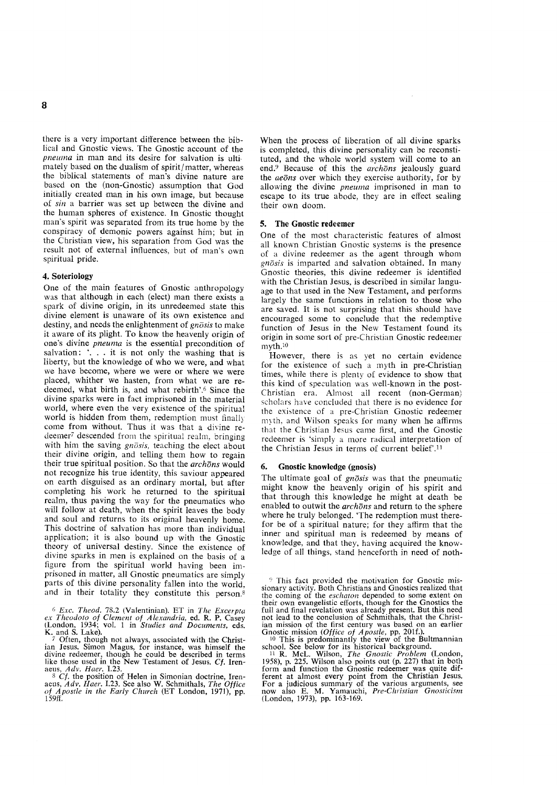there is a very important difference between the biblical and Gnostic views. The Gnostic account of the *pneuma* in man and its desire for salvation is ulti· mately based on the dualism of spirit/matter, whereas the biblical statements of man's divine nature are based on the (non-Gnostic) assumption that God initially created man in his own image, but because of *sin* a barrier was set up between the divine and the human spheres of existence. In Gnostic thought man's spirit was separated from its true home by the conspiracy of demonic powers against him; but in the Christian view, his separation from God was the result not of external influences, but of man's own spiritual pride.

## 4. Soteriology

One of the main features of Gnostic anthropology was that although in each (elect) man there exists a spark of divine origin, in its unredeemed state this divine element is unaware of its own existence and destiny, and needs the enlightenment of *gnosis* to make it aware of its plight. To know the heavenly origin of one's divine *pneuma* is the essential precondition of salvation: '... it is not only the washing that is liberty, but the knowledge of who we were, and what we have become, where we were or where we were placed, whither we hasten, from what we are redeemed, what birth is, and what rebirth'.6 Since the divine sparks 'were in fact imprisoned in the material world, where even the very existence of the spiritual world is hidden from them, redemption must finally come from without. Thus it was that a divine redeemer? descended from the spiritual realm, bringing with him the saving *gnosis*, teaching the elect about their divine origin, and telling them how to regain their true spiritual position. So that the *archons* would not recognize his true identity, this saviour appeared on earth disguised as an ordinary mortal, but after completing his work he returned to the spiritual realm, thus paving the way for the pneumatics who will follow at death, when the spirit leaves the body and soul and returns to its original heavenly home. This doctrine of salvation has more than individual application; it is also bound up with the Gnostic theory of universal destiny. Since the existence of divine sparks in men is explained on the basis of a figure from the spiritual world having been imprisoned in matter, all Gnostic pneumatics are simply parts of this divine personality fallen into the world, and in their totality they constitute this person.<sup>8</sup>

S Ct. the position of Helen in Simonian doctrine, Iren-aeus, *Adv. Haer.* 1.23. See also W. Schmithals, *The Office of Apostle* in *the Early Church* (ET London, 1971), pp. 1 59ff.

When the process of liberation of all divine sparks is completed, this divine personality can be reconstituted, and the whole world system will come to an end.<sup>9</sup> Because of this the *archons* jealously guard the *aeons* over which they exercise authority, for by allowing the divine *pneuma* imprisoned in man to escape to its true abode, they are in effect sealing their own doom.

# 5. The Gnostic redeemer

One of the most characteristic features of almost all known Christian Gnostic systems is the presence of a divine redeemer as the agent through whom *gnosis* is imparted and salvation obtained. In many Gnostic theories, this divine redeemer is identified with the Christian Jesus, is described in similar language to that used in the New Testament, and performs largely the same functions in relation to those who are saved. It is not surprising that this should have encouraged some to conclude that the redemptive function of Jesus in the New Testament found its origin in some sort of pre-Christian Gnostic redeemer  $myth.<sup>10</sup>$ 

However, there is as yet no certain evidence for the existence of such a myth in pre-Christian times, while there is plenty of evidence to show that this kind of speculation was well-known in the post-Christian era. Almost all recent (non-German) scholars have concluded that there is no evidence for the existence of a pre-Christian Gnostic redeemer myth, and Wilson speaks for many when he affirms that the Christian Jesus came first, and the Gnostic redeemer is 'simply a more radical interpretation of the Christian Jesus in terms of current belief'.<sup>11</sup>

# 6. Gnostic knowledge (gnosis)

The ultimate goal of *gnosis* was that the pneumatic might know the heavenly origin of his spirit and that through this knowledge he might at death be enabled to outwit the *archons* and return to the sphere where he truly belonged. 'The redemption must therefor be of a spiritual nature; for they affirm that the inner and spiritual man is redeemed by means of knowledge, and that they, having acquired the knowledge of all things, stand henceforth in need of noth-

<sup>&</sup>lt;sup>6</sup> Exc. Theod. 78.2 (Valentinian). ET in The Excerpta<br>ex Theodoto of Clement of Alexandria, ed. R. P. Casey<br>(London, 1934; vol. 1 in *Studies and Documents*, eds.<br>K. and S. Lake).<br>7 Often, though not always, associated w

aeus, *A dv. H aer. 1.23.* 

 $9$  This fact provided the motivation for Gnostic missionary activity. Both Christians and Gnostics realized that the coming of the *eschaton* depended to some extent on the coming of the *eschaton* depended to some extent on their own evangelistic efforts, though for the Gnostics the full and final revelation was already present. But this need not lead to the conclusion of Schmithals, that the Christian mission of the first century was based on an earlier Gnostic mission *(Office of Apostle, pp. 201f.).* <sup>10</sup> This is predominantly the view of the Bultmannian

school. See below for its historical background.<br><sup>11</sup> R. McL. Wilson, *The Gnostic Problem* (London, 1958), p. 225. Wilson also points out (p. 227) that in both form and function the Gnostic redeemer was quite different at almost every point from the Christian Jesus. For a judicious summary of the various arguments, see now also E. M. Yamauchi, *Pre-Christian Gnosticism* (London, 1973), pp. 163-169.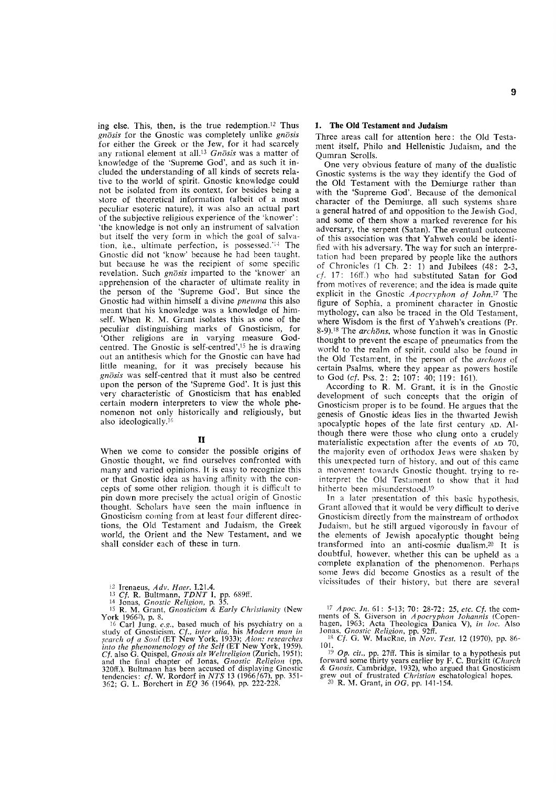ing else. This, then, is the true redemption.12 Thus *gnosis* for the Gnostic was completely unlike *gnosis* for either the Greek or the Jew, for it had scarcely any rational element at all.<sup>13</sup> *Gnosis* was a matter of knowledge of the 'Supreme God', and as such it included the understanding of all kinds of secrets relative to the world of spirit. Gnostic knowledge could not be isolated from its context, for besides being a store of theoretical information (albeit of a most peculiar esoteric nature), it was also an actual part of the subjective religious experience of the 'knower': 'the knowledge is not only an instrument of salvation but itself the very form in which the goal of salvation, i.e., ultimate perfection, is possessed i<sup>4</sup> The Gnostic did not 'know' because he had been taught. but because he was the recipient of some specific revelation. Such *gnosis* imparted to the 'knower' an apprehension of the character of ultimate reality in the person of the 'Supreme God'. But since the Gnostic had within himself a divine *pneuma* this also meant that his knowledge was a knowledge of himself. When R. M. Grant isolates this as one of the peculiar distinguishing marks of Gnosticism, for 'Other religions are in varying measure Godcentred. The Gnostic is self-centred',15 he is drawing out an antithesis which for the Gnostic can have had little meaning, for it was precisely because his *gnosis* was self-centred that it must also be centred upon the person of the 'Supreme God'. It is just this very characteristic of Gnosticism that has enabled certain modern interpreters to view the whole phenomenon not only historically and religiously, but also ideologically.<sup>16</sup>

## 11

When we come to consider the possible origins of Gnostic thought, we find ourselves confronted with many and varied opinions. It is easy to recognize this or that Gnostic idea as having affinity with the concepts of some other religion. though it is difficult to pin down more precisely the actual origin of Gnostic thought. Scholars have seen the main influence in Gnosticism coming from at least four different directions, the Old Testament and Judaism, the Greek world, the Orient and the New Testament, and we shall consider each of these in turn.

- 
- 12 Irenaeus, *Adv. Haer.* 1.21.4.<br><sup>13</sup> Cf. R. Bultmann, *TDNT* I, pp. 689ff.<br><sup>14</sup> Jonas, *Gnostic Religion*, p. 35.<br><sup>15</sup> R. M. Grant, *Gnosticism & Early Christianity* (New

York 1966<sup>2</sup>), p. 8.<br><sup>16</sup> Carl Jung, *e.g.*, based much of his psychiatry on a study of Gnosticism. *Cf., inter alia,* his *Modern man in the gearch of a Soul* (ET New York, 1933); *Aion: researches into the phenomenology of the Self* (ET New York, 1959). Cf. also G. Quispel, *Gnosis als Weltreligion* (Zurich, 1951);<br>and the final chapter of Jonas, *Gnostic Religion* (pp.<br>320ff.). Bultman has been accused of displaying Gnostic<br>tendencies: *cf.* W. Rordorf in NTS 13 (1966/6

# **1. The Old Testament and Judaism**

Three areas call for attention here: the Old Testament itself, Philo and Hellenistic Judaism, and the Qumran Scrolls.

One very obvious feature of many of the dualistic Gnostic systems is the way they identify the God of the Old Testament with the Demiurge rather than with the 'Supreme God'. Because of the demonical character of the Demiurge, all such systems share a general hatred of and opposition to the Jewish God, and some of them show a marked reverence for his adversary, the serpent (Satan). The eventual outcome of this association was that Yahweh could be identified with his adversary. The way for such an interpretation had been prepared by people like the authors of Chronicles (I Ch. 2: 1) and Jubilees (48: 2-3, *cf·* 17: 16ff.) who had substituted Satan for God from motives of reverence; and the idea is made quite explicit in the Gnostic Apocryphon of John.<sup>17</sup> The figure of Sophia, a prominent character in Gnostic mythology, can also be traced in the Old Testament, where Wisdom is the first of Yahweh's creations (Pr. 8-9).<sup>18</sup> The *archons*, whose function it was in Gnostic thought to prevent the escape of pneumatics from the world to the realm of spirit. could also be found in the Old Testament, in the person of the *archons* of certain Psalms, where they appear as powers hostile to God *(cf.* Pss. 2: 2; 107: 40; 119: 161).

According to R. M. Grant, it is in the Gnostic development of such concepts that the origin of Gnosticism proper is to be found. He argues that the genesis of Gnostic ideas lies in the thwarted Jewish apocalyptic hopes of the late first century AD. Although there were those who clung onto a crudely materialistic expectation after the events of AD 70, the majority even of orthodox Jews were shaken by this unexpected turn of history, and out of this came a movement towards Gnostic thought, trying to reinterpret the Old Testament to show that it had hitherto been misunderstood.19

In a later presentation of this basic hypothesis, Grant allowed that it would be very difficult to derive Gnosticism directly from the mainstream of orthodox Judaism, but he still argued vigorously in favour of the elements of Jewish apocalyptic thought being transformed into an anti-cosmic dualism.2o It is doubtful, however. whether this can be upheld as a complete explanation of the phenomenon. Perhaps some Jews did become Gnostics as a result of the vicissitudes of their history, but there are several

<sup>17</sup>*Apoc. ]n.* 61: 5-13; 70: 28-72: 25, *etc. Cf.* the com- ments of S. Giverson in *Apocryphon ]ohannis* (Copen- hagen, 1963; Acta Theologica Danica V), *in lac.* Also )onas, *Gnostic Religion,* pp. 92ff. 18 Cf. G. W. MacRae, in *Nov. Test.* 12 (1970), pp. 86-

<sup>101. 19</sup> Op. *cit.,* pp. 27ff. This is similar to a hypothesis put forward some thirty years earlier by F. C. Burkitt *(Church*  & *Gnosis.* Cambridge, 1932), who argued that Gnosticism grew out of frustrated *Christian* eschatological hopes. 20 R. M. Grant, in *OG,* pp. 141-154.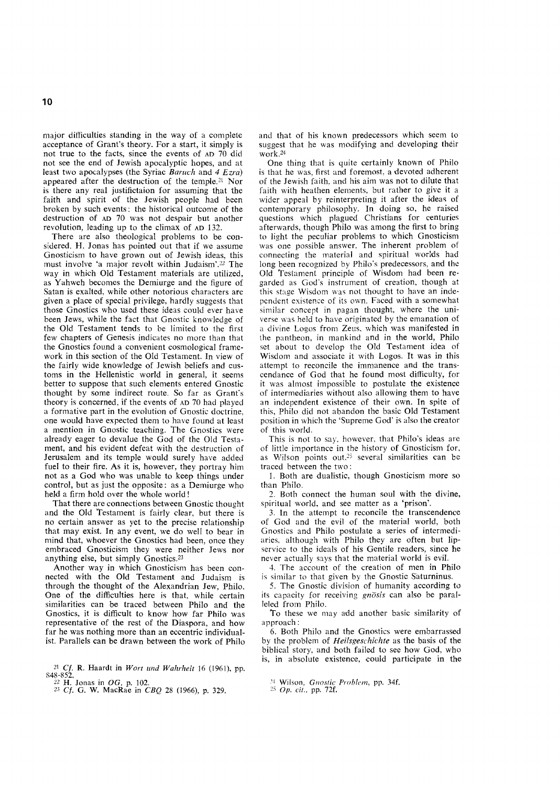major difficulties standing in the way of a complete acceptance of Grant's theory. For a start, it simply is not true to the facts, since the events of AD 70 did not see the end of Jewish apocalyptic hopes, and at least two apocalypses (the Syriac *Baruch* and 4 *Ezra)*  appeared after the destruction of the temple.<sup>21</sup> Nor is there any real justifictaion for assuming that the faith and spirit of the Jewish people had been broken by such events: the historical outcome of the destruction of AD 70 was not despair but another revolution, leading up to the climax of AD 132.

There are also theological problems to be considered. H. Jonas has pointed out that if we assume Gnosticism to have grown out of Jewish ideas, this must involve 'a major revolt within ludaism'.22 The way in which Old Testament materials are utilized, as Yahweh becomes the Demiurge and the figure of Satan is exalted, while other notorious characters are given a place of special privilege, hardly suggests that those Gnostics who used these ideas could ever have been Jews, while the fact that Gnostic knowledge of the Old Testament tends to be limited to the first few chapters of Genesis indicates no more than that the Gnostics found a convenient cosmological framework in this section of the Old Testament. In view of the fairly wide knowledge of Jewish beliefs and customs in the Hellenistic world in general, it seems better to suppose that such elements entered Gnostic thought by some indirect route. So far as Grant's theory is concerned, if the events of AD 70 had played a formative part in the evolution of Gnostic doctrine, one would have expected them to have found at least a mention in Gnostic teaching. 'The Gnostics were already eager to devalue the God of the Old Testament, and his evident defeat with the destruction of Jerusalem and its temple would surely have added fuel to their fire. As it is, however, they portray him not as a God who was unable to keep things under control, but as just the opposite: as a Demiurge who held a firm hold over the whole world!

That there are connections between Gnostic thought and the Old Testament is fairly clear, but there is no certain answer as yet to the precise relationship that may exist. In any event, we do well to bear in mind that, whoever the Gnostics had been, once they em braced Gnosticism they were neither Jews nor anything else, but simply Gnostics.23

Another way in which Gnosticism has been connected with the Old Testament and Judaism is through the thought of the Alexandrian Jew, Philo. One of the difficulties here is that, while certain similarities can be traced between Philo and the Gnostics, it is difficult to know how far Philo was representative of the rest of the Diaspora, and how far he was nothing more than an eccentric individualist. Parallels can be drawn between the work of Philo and that of his known predecessors which seem to suggest that he was modifying and developing their work.24

One thing that is quite certainly known of Philo is that he was, first and foremost, a devoted adherent of the Jewish faith, and his aim was not to dilute that faith with heathen elements, but rather to give it a wider appeal by reinterpreting it after the ideas of contemporary philosophy. In doing so, he raised questions which plagued Christians for centuries afterwards, though Philo was among the first to bring to light the peculiar problems to which Gnosticism was one possible answer. The inherent problem of connecting the material and spiritual worlds had long been recognized by Philo's predecessors, and the Old Testament principle of Wisdom had been regarded as God's instrument of creation, though at this stage Wisdom was not thought to have an independent existence of its own. Faced with a somewhat similar concept in pagan thought, where the universe was held to have originated by the emanation of a divine Logos from Zeus. which was manifested in the pantheon, in mankind and in the world, Philo set about to develop the Old Testament idea of Wisdom and associate it with Logos. It was in this attempt to reconcile the immanence and the transcendance of God that he found most difficulty, for it was almost impossible to postulate the existence of intermediaries without also allowing them to have an independent existence of their own. In spite of this, Philo did not abandon the basic Old Testament position in which the 'Supreme God' is also the creator of this world.

This is not to say. however, that Philo's ideas are of little importance in the history of Gnosticism for, as Wilson points out.<sup>25</sup> several similarities can be traced between the two:

1. Both are dualistic, though Gnosticism more so than Philo.

2. Both connect the human soul with the divine, spiritual world, and see matter as a 'prison'.

3. In the attempt to reconcile the transcendence of God and the evil of the material world, both Gnostics and Philo postulate a series of intermediaries, although with PhiIo they are often but lipservice to the ideals of his Gentile readers, since he never actuallv savs that the material world is evil.

4. The account of the creation of men in Philo is similar to that given by the Gnostic Saturninus.

5. The Gnostic division of humanity according to its capacity for receiving gnosis can also be paralleled from Philo.

*To* these we may add another basic similarity of approach:

6. Both Philo and the Gnostics were embarrassed by the problem of *Heilsgeschichte* as the basis of the biblical story, and both failed to see how God, who is, in absolute existence, could participate in the

<sup>24</sup> Wilson, *Gnostic Problem*, pp. 34f.<br><sup>25</sup> Op. cit., pp. 72f.

*<sup>21</sup>*ct. R. Haardt in *Wart llnd Wahrheit* 16 (1961), pp.

R48-852. 22 H. Jonas in *OG,* p. 102. *23 Cf.* G. W. MacRae in *CBQ* 28 (1966), p. 329.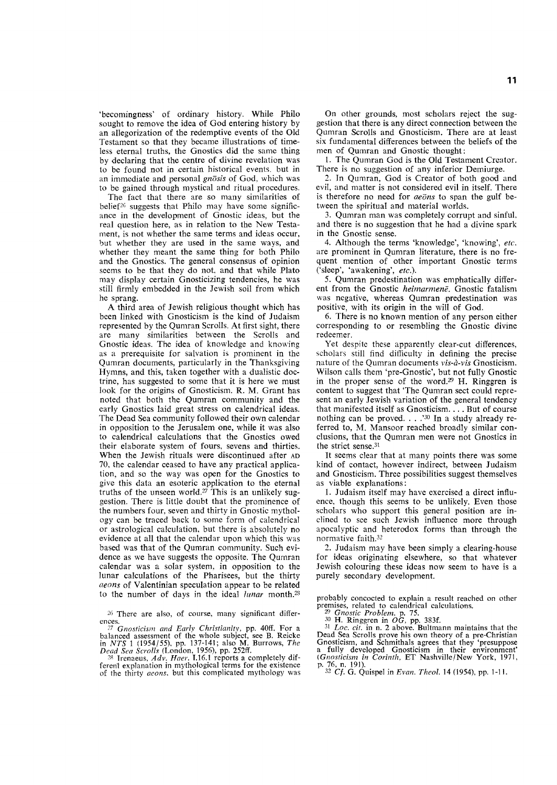'becomingness' of ordinary history. While Philo sought to remove the idea of God entering history by an allegorization of the redemptive events of the Old Testament so that they became illustrations of timeless eternal truths, the Gnostics did the same thing by declaring that the centre of divine revelation was to be found not in certain historical events. but in an immediate and personal *gnosis* of God, which was to be gained through mystical and ritual procedures.

The fact that there are so many similarities of belief<sup>26</sup> suggests that Philo may have some significance in the development of Gnostic ideas, but the real question here, as in relation to the New Testament, is not whether the same terms and ideas occur, but whether they are used in the same ways, and whether they meant the same thing for both Philo and the Gnostics. The general consensus of opinion seems to be that they do not. and that while Plato may display certain Gnosticizing tendencies, he was still firmly embedded in the Jewish soil from which he sprang.

A third area of Jewish religious thought which has been linked with Gnosticism is the kind of Judaism represented by the Qumran Scrolls. At first sight, there are many similarities between the Scrolls and Gnostic ideas. The idea of knowledge and knowing as a prerequisite for salvation is prominent in the Qumran documents, particularly in the Thanksgiving Hymns, and this, taken together with a dualistic doctrine, has suggested to some that it is here we must look for the origins of Gnosticism. R. M. Grant has noted that both the Qumran community and the early Gnostics laid great stress on calendrical ideas. The Dead Sea community followed their own calendar in opposition to the Jerusalem one, while it was also to calendrical calculations that the Gnostics owed their elaborate system of fours, sevens and thirties. When the Jewish rituals were discontinued after AD 70, the calendar ceased to have any practical application, and so the way was open for the Gnostics to give this data an esoteric application to the eternal truths of the unseen world.<sup>27</sup> This is an unlikely suggestion. There is little doubt that the prominence of the numbers four, seven and thirty in Gnostic mythology can be traced back to some form of calendrical or astrological calculation, but there is absolutely no evidence at all that the calendar upon which this was based was that of the Qumran community. Such evidence as we have suggests the opposite. The Qurnran calendar was a solar system, in opposition to the lunar calculations of the Pharisees, but the thirty *aeons* of Valentinian speculation appear to be related to the number of days in the ideal *lunar* month.<sup>28</sup>

<sup>26</sup> There are also, of course, many significant differences.<br><sup>27</sup> Gnosticism and Early Christianity, pp. 40ff. For a balanced assessment of the whole subject, see B. Reicke<br>in NTS 1 (1954/55), pp. 137-141; also M. Burrow

ferent explanation in mythological terms for the existence of the thirty *aeons.* but this complicated mythology was

On other grounds, most scholars reject the suggestion that there is any direct connection between the Qumran Scrolls and Gnosticism. There are at least six fundamental differences between the beliefs of the men of Qumran and Gnostic thought:

1. The Qumran God is the Old Testament Creator. There is no suggestion of any inferior Demiurge.

2. **In** Qumran, God is Creator of both good and evil, and matter is not considered evil in itself. There is therefore no need for *aeons* to span the gulf between the spiritual and material worlds.

3. Qumran man was completely corrupt and sinful. and there is no suggestion that he had a divine spark in the Gnostic sense.

4. Although the terms 'knowledge', 'knowing', *etc.*  are prominent in Qumran literature, there is no frequent mention of other important Gnostic terms ('sleep', 'awakening', *etc.).* 

5. Qumran predestination was emphatically different from the Gnostic *heimarmene.* Gnostic fatalism was negative, whereas Qumran predestination was positive, with its origin in the will of God.

6. There is no known mention of any person either corresponding to or resembling the Gnostic divine redeemer.

Yet despite these apparently clear-cut differences, scholars still find difficulty in defining the precise nature of the Qumran documents *vis-a-vis* Gnosticism. Wilson calls them 'pre-Gnostic', but not fully Gnostic in the proper sense of the word.<sup>29</sup> H. Ringgren is content to suggest that 'The Qumran sect could represent an early Jewish variation of the general tendency that manifested itself as Gnosticism. . . . But of course nothing can be proved. . . . . '30 In a study already referred to, M. Mansoor reached broadly similar conclusions, that the Qumran men were not Gnostics in the strict sense.<sup>31</sup>

It seems clear that at many points there was some kind of contact, however indirect, between Judaism and Gnosticism. Three possibilities suggest themselves as viable explanations:

1. Judaism itself may have exercised a direct influence, though this seems to be unlikely. Even those scholars who support this general position are inclined to see such Jewish influence more through apocalyptic and heterodox forms than through the normative faith. <sup>32</sup>

2. Iudaism may have been simply a clearing-house for ideas originating elsewhere, so that whatever Jewish colouring these ideas now seem to have is a purely secondary development.

probably concocted to explain a result reached on other premises, related to calendrical calculations.

premises, related to calendrical calculations. *29 Gnostic Problem.* p. 75. 30 H. Ringgren in *OG,* pp. 383f. *31 Lac. cit.* in n. 2 above. Bultmann maintains that the Dead Sea Scrolls prove his own theory of a pre-Christian Gnosticism, and Schmithals agrees that they 'presuppose a fully developed Gnosticism in their environment' *(Gnosticism in Corinth,* ET Nashville/New York, 1971,

p. 76, n. 191).<br><sup>32</sup> *Cf.* G. Quispel in *Evan. Theol.* 14 (1954), pp. 1-11.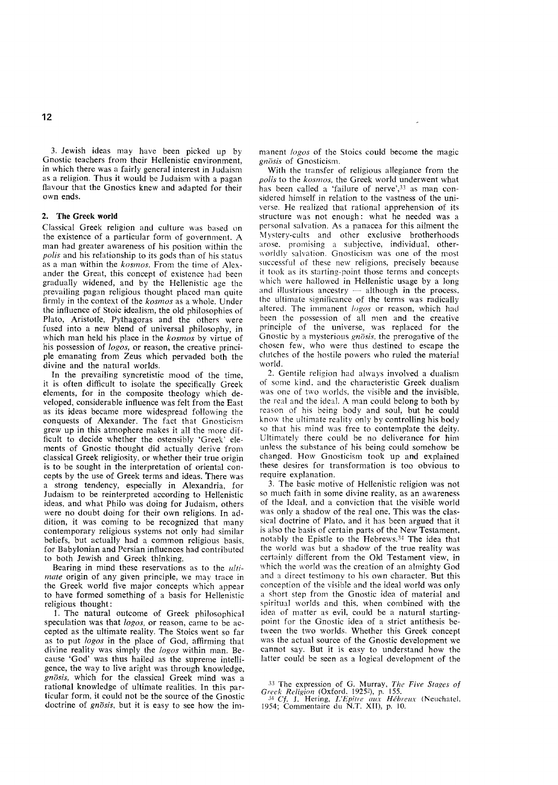3. Jewish ideas may have been picked up by Gnostic teachers from their Hellenistic environment in which there was a fairly general interest in Judaism as a religion. Thus it would be Judaism with a pagan flavour that the Gnostics knew and adapted for their own ends.

#### **2. The** Greek **world**

Classical Greek religion and culture was based on the existence of a particular form of government. A man had greater awareness of his position within the *polis* and his relationship to its gods than of his status as a man within the *kosmos.* From the time of Alexander the Great, this concept of existence had been gradually widened, and by the Hellenistic age the prevailing pagan religious thought placed man quite firmly in the context of the *kosmos* as a whole. Under the influence of Stoic idealism, the old philosophies of Plato, Aristotle, Pythagoras and the others were fused into a new blend of universal philosophy, in which man held his place in the *kosmos* by virtue of his possession of *logos,* or reason, the creative principle emanating from Zeus which pervaded both the divine and the natural worlds.

In the prevailing syncretistic mood of the time, it is often difficult to isolate the specifically Greek elements, for in the composite theology which developed, considerable influence was felt from the East as its ideas became more widespread following the conquests of Alexander. The fact that Gnosticism grew up in this atmophere makes it all the more difficult to decide whether the ostensibly 'Greek' elements of Gnostic thought did actually derive from classical Greek religiosity, or whether their true origin is to be sought in the interpretation of oriental concepts by the use of Greek terms and ideas. There was a strong tendency, especially in Alexandria, for Judaism to be reinterpreted according to Hellenistic ideas, and what Philo was doing for Judaism, others were no doubt doing for their own religions. In addition, it was coming to be recognized that many contemporary religious systems not only had similar beliefs, but actually had a common religious basis. for Babylonian and Persian influences had contributed to both Jewish and Greek thinking.

Bearing in mind these reservations as to the *ultimate* origin of any given principle, we may trace in the Greek world five major concepts which appear to have formed something of a basis for Hellenistic religious thought:

1. The natural outcome of Greek philosophical speculation was that *logos,* or reason, came to be accepted as the ultimate reality. The Stoics went so far as to put *logos* in the place of God, affirming that divine reality was simply the *logos* within man. Because 'God' was thus hailed as the supreme intelligence, the way to live aright was through knowledge, *gnosis,* which for the classical Greek mind was a rational knowledge of ultimate realities. In this particular form, it could not be the source of the Gnostic doctrine of *gnosis*, but it is easy to see how the immanent *logos* of the Stoics could become the magic *gnosis* of Gnosticism.

With the transfer of religious allegiance from the *polis* to the *kosmos,* the Greek world underwent what has been called a 'failure of nerve',<sup>33</sup> as man considered himself in relation to the vastness of the universe. He realized that rational apprehension of its structure was not enough: what he needed was a personal salvation. As a panacea for this ailment the Mystery-cults and other exclusive brotherhoods arose. promising a subjective, individual, otherworldly salvation. Gnosticism was one of the most successful of these new religions, precisely because it took as its starting-point those terms and concepts which were hallowed in Hellenistic usage by a long and illustrious ancestry  $-$  although in the process, the ultimate significance of the terms was radically altered. The immanent *logos* or reason, which had been the possession of all men and the creative principle of the universe, was replaced for the Gnostic by a mysterious *gnosis*, the prerogative of the chosen few, who were thus destined to escape the clutches of the hostile powers who ruled the material world.

2. Gentile religion had always involved a dualism of some kind, and the characteristic Greek dualism was one of two worlds, the visible and the invisible, the real and the ideal. A man could belong to both by reason of his being body and soul, but he could know the ultimate reality only by controlling his body so that his mind was free to contemplate the deity. Ultimatelv there could be no deliverance for him unless the substance of his being could somehow be changed. How Gnosticism took up and explained these desires for transformation is too obvious to require explanation.

3. The basic motive of Hellenistic religion was not so much faith in some divine reality, as an awareness of the Ideal, and a conviction that the visible world was only a shadow of the real one. This was the classical doctrine of Plato, and it has been argued that it is also the basis of certain parts of the New Testament, notably the Epistle to the Hebrews. 34 The idea that the world was but a shadow of the true reality was certainly different from the Old Testament view, in which the world was the creation of an almighty God and a direct testimony to his own character. But this conception of the visible and the ideal world was only a short step from the Gnostic idea of material and spiritual worlds and this, when combined with the idea of matter as evil, could be a natural startingpoint for the Gnostic idea of a strict antithesis between the two worlds. Whether this Greek concept was the actual source of the Gnostic development we cannot say. But it is easy to understand how the latter could be seen as a logical development of the

<sup>33</sup> The expression of G. Murray, *The Five Stages of Greek Religion* (Oxford. 1925<sup>2</sup>), p. 155. <sup>34</sup> Cf. J. Hering, *L'Epitre aux Hébreux* (Neuchatel,

<sup>1954;</sup> Commentaire du N.T. XII), p. 10.